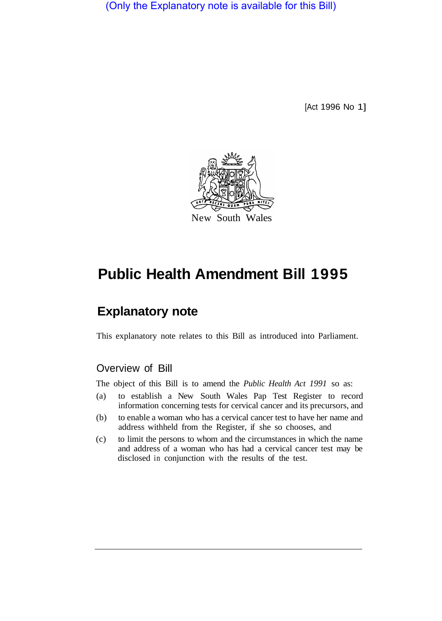(Only the Explanatory note is available for this Bill)

[Act 1996 No 1]



## **Public Health Amendment Bill 1995**

## **Explanatory note**

This explanatory note relates to this Bill as introduced into Parliament.

## Overview of Bill

The object of this Bill is to amend the *Public Health Act 1991* so as:

- (a) to establish a New South Wales Pap Test Register to record information concerning tests for cervical cancer and its precursors, and
- (b) to enable a woman who has a cervical cancer test to have her name and address withheld from the Register, if she so chooses, and
- (c) to limit the persons to whom and the circumstances in which the name and address of a woman who has had a cervical cancer test may be disclosed in conjunction with the results of the test.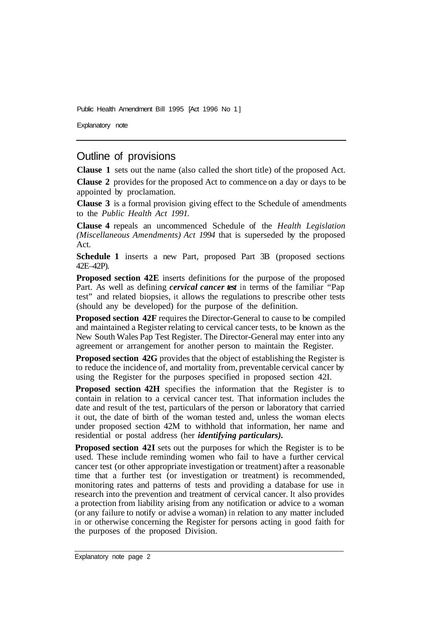Public Health Amendment Bill 1995 [Act 1996 No 1]

Explanatory note

## Outline of provisions

**Clause 1** sets out the name (also called the short title) of the proposed Act.

**Clause 2** provides for the proposed Act to commence on a day or days to be appointed by proclamation.

**Clause 3** is a formal provision giving effect to the Schedule of amendments to the *Public Health Act 1991.* 

**Clause 4** repeals an uncommenced Schedule of the *Health Legislation (Miscellaneous Amendments) Act 1994* that is superseded by the proposed Act.

**Schedule 1** inserts a new Part, proposed Part 3B (proposed sections 42E–42P).

**Proposed section 42E** inserts definitions for the purpose of the proposed Part. As well as defining *cervical cancer test* in terms of the familiar "Pap test" and related biopsies, it allows the regulations to prescribe other tests (should any be developed) for the purpose of the definition.

**Proposed section 42F** requires the Director-General to cause to be compiled and maintained a Register relating to cervical cancer tests, to be known as the New South Wales Pap Test Register. The Director-General may enter into any agreement or arrangement for another person to maintain the Register.

**Proposed section 42G** provides that the object of establishing the Register is to reduce the incidence of, and mortality from, preventable cervical cancer by using the Register for the purposes specified in proposed section 42I.

**Proposed section 42H** specifies the information that the Register is to contain in relation to a cervical cancer test. That information includes the date and result of the test, particulars of the person or laboratory that carried it out, the date of birth of the woman tested and, unless the woman elects under proposed section 42M to withhold that information, her name and residential or postal address (her *identifying particulars).* 

**Proposed section 42I** sets out the purposes for which the Register is to be used. These include reminding women who fail to have a further cervical cancer test (or other appropriate investigation or treatment) after a reasonable time that a further test (or investigation or treatment) is recommended, monitoring rates and patterns of tests and providing a database for use in research into the prevention and treatment of cervical cancer. It also provides a protection from liability arising from any notification or advice to a woman (or any failure to notify or advise a woman) in relation to any matter included in or otherwise concerning the Register for persons acting in good faith for the purposes of the proposed Division.